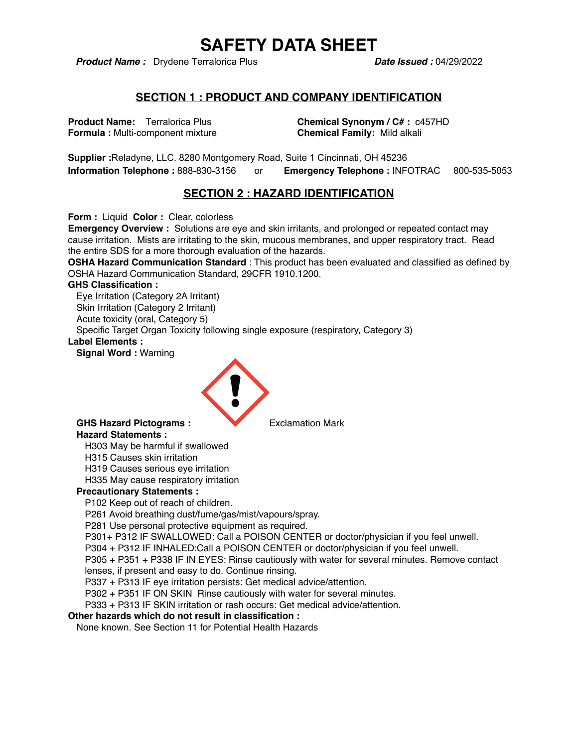**Product Name :** Drydene Terralorica Plus **Date Issued : 04/29/2022** 

### **SECTION 1 : PRODUCT AND COMPANY IDENTIFICATION**

**Formula : Multi-component mixture <b>Chemical Family:** Mild alkali

**Product Name:** Terralorica Plus **Chemical Synonym / C# :** c457HD

**Supplier :**Reladyne, LLC. 8280 Montgomery Road, Suite 1 Cincinnati, OH 45236 **Information Telephone :** 888-830-3156 or **Emergency Telephone :** INFOTRAC 800-535-5053

## **SECTION 2 : HAZARD IDENTIFICATION**

**Form :** Liquid **Color :** Clear, colorless

**Emergency Overview :** Solutions are eye and skin irritants, and prolonged or repeated contact may cause irritation. Mists are irritating to the skin, mucous membranes, and upper respiratory tract. Read the entire SDS for a more thorough evaluation of the hazards.

**OSHA Hazard Communication Standard** : This product has been evaluated and classified as defined by OSHA Hazard Communication Standard, 29CFR 1910.1200.

#### **GHS Classification :**

Eye Irritation (Category 2A Irritant) Skin Irritation (Category 2 Irritant) Acute toxicity (oral, Category 5)

Specific Target Organ Toxicity following single exposure (respiratory, Category 3)

#### **Label Elements :**

**Signal Word :** Warning



#### GHS Hazard Pictograms : **Exclamation Mark Hazard Statements :**

H303 May be harmful if swallowed

H315 Causes skin irritation

H319 Causes serious eye irritation

H335 May cause respiratory irritation

#### **Precautionary Statements :**

P102 Keep out of reach of children.

P261 Avoid breathing dust/fume/gas/mist/vapours/spray.

P281 Use personal protective equipment as required.

P301+ P312 IF SWALLOWED: Call a POISON CENTER or doctor/physician if you feel unwell.

P304 + P312 IF INHALED:Call a POISON CENTER or doctor/physician if you feel unwell.

P305 + P351 + P338 IF IN EYES: Rinse cautiously with water for several minutes. Remove contact lenses, if present and easy to do. Continue rinsing.

P337 + P313 IF eye irritation persists: Get medical advice/attention.

P302 + P351 IF ON SKIN Rinse cautiously with water for several minutes.

P333 + P313 IF SKIN irritation or rash occurs: Get medical advice/attention.

#### **Other hazards which do not result in classification :**

None known. See Section 11 for Potential Health Hazards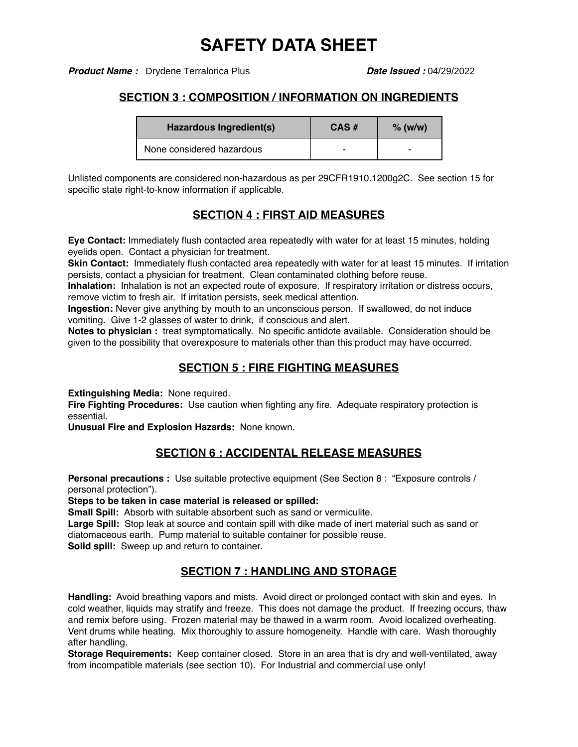**Product Name :** Drydene Terralorica Plus **Date Issued : 04/29/2022** 

## **SECTION 3 : COMPOSITION / INFORMATION ON INGREDIENTS**

| Hazardous Ingredient(s)   | $CAS \#$ | $%$ (w/w) |
|---------------------------|----------|-----------|
| None considered hazardous | -        | -         |

Unlisted components are considered non-hazardous as per 29CFR1910.1200g2C. See section 15 for specific state right-to-know information if applicable.

# **SECTION 4 : FIRST AID MEASURES**

**Eye Contact:** Immediately flush contacted area repeatedly with water for at least 15 minutes, holding eyelids open. Contact a physician for treatment.

**Skin Contact:** Immediately flush contacted area repeatedly with water for at least 15 minutes. If irritation persists, contact a physician for treatment. Clean contaminated clothing before reuse.

**Inhalation:** Inhalation is not an expected route of exposure. If respiratory irritation or distress occurs, remove victim to fresh air. If irritation persists, seek medical attention.

**Ingestion:** Never give anything by mouth to an unconscious person. If swallowed, do not induce vomiting. Give 1-2 glasses of water to drink, if conscious and alert.

**Notes to physician :** treat symptomatically. No specific antidote available. Consideration should be given to the possibility that overexposure to materials other than this product may have occurred.

# **SECTION 5 : FIRE FIGHTING MEASURES**

**Extinguishing Media:** None required.

**Fire Fighting Procedures:** Use caution when fighting any fire. Adequate respiratory protection is essential.

**Unusual Fire and Explosion Hazards:** None known.

## **SECTION 6 : ACCIDENTAL RELEASE MEASURES**

**Personal precautions :** Use suitable protective equipment (See Section 8 : "Exposure controls / personal protection").

**Steps to be taken in case material is released or spilled:**

**Small Spill:** Absorb with suitable absorbent such as sand or vermiculite.

**Large Spill:** Stop leak at source and contain spill with dike made of inert material such as sand or diatomaceous earth. Pump material to suitable container for possible reuse.

**Solid spill:** Sweep up and return to container.

## **SECTION 7 : HANDLING AND STORAGE**

**Handling:** Avoid breathing vapors and mists. Avoid direct or prolonged contact with skin and eyes. In cold weather, liquids may stratify and freeze. This does not damage the product. If freezing occurs, thaw and remix before using. Frozen material may be thawed in a warm room. Avoid localized overheating. Vent drums while heating. Mix thoroughly to assure homogeneity. Handle with care. Wash thoroughly after handling.

**Storage Requirements:** Keep container closed. Store in an area that is dry and well-ventilated, away from incompatible materials (see section 10). For Industrial and commercial use only!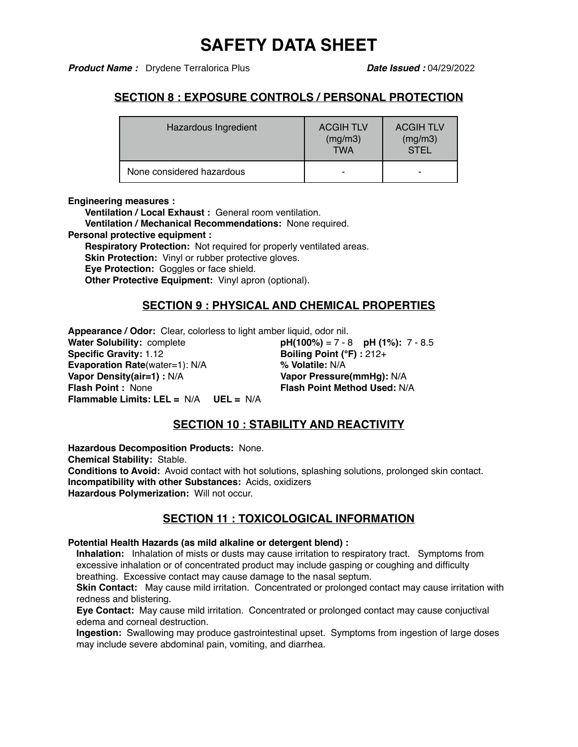**Product Name :** Drydene Terralorica Plus **Date Issued : 04/29/2022** 

## **SECTION 8 : EXPOSURE CONTROLS / PERSONAL PROTECTION**

| Hazardous Ingredient      | <b>ACGIH TLV</b><br>(mg/m3)<br><b>TWA</b> | <b>ACGIH TLV</b><br>(mg/m3)<br><b>STEL</b> |
|---------------------------|-------------------------------------------|--------------------------------------------|
| None considered hazardous | -                                         |                                            |

#### **Engineering measures :**

**Ventilation / Local Exhaust :** General room ventilation. **Ventilation / Mechanical Recommendations:** None required. **Personal protective equipment : Respiratory Protection: Not required for properly ventilated areas. Skin Protection:** Vinyl or rubber protective gloves. **Eye Protection:** Goggles or face shield. **Other Protective Equipment:** Vinyl apron (optional).

## **SECTION 9 : PHYSICAL AND CHEMICAL PROPERTIES**

**Appearance / Odor:** Clear, colorless to light amber liquid, odor nil. **pH(100%)** = 7 - 8 **pH (1%):** 7 - 8.5 **Specific Gravity:** 1.12 **Boiling Point (°F)** : 212+ **Evaporation Rate**(water=1): N/A **% Volatile:** N/A **Vapor Density(air=1) :** N/A **Vapor Pressure(mmHg):** N/A **Flash Point Method Used: N/A Flammable Limits: LEL =** N/A **UEL =** N/A

## **SECTION 10 : STABILITY AND REACTIVITY**

**Hazardous Decomposition Products:** None. **Chemical Stability:** Stable. **Conditions to Avoid:** Avoid contact with hot solutions, splashing solutions, prolonged skin contact. **Incompatibility with other Substances:** Acids, oxidizers **Hazardous Polymerization:** Will not occur.

## **SECTION 11 : TOXICOLOGICAL INFORMATION**

**Potential Health Hazards (as mild alkaline or detergent blend) :** 

**Inhalation:** Inhalation of mists or dusts may cause irritation to respiratory tract. Symptoms from excessive inhalation or of concentrated product may include gasping or coughing and difficulty breathing. Excessive contact may cause damage to the nasal septum.

**Skin Contact:** May cause mild irritation. Concentrated or prolonged contact may cause irritation with redness and blistering.

**Eye Contact:** May cause mild irritation. Concentrated or prolonged contact may cause conjuctival edema and corneal destruction.

**Ingestion:** Swallowing may produce gastrointestinal upset. Symptoms from ingestion of large doses may include severe abdominal pain, vomiting, and diarrhea.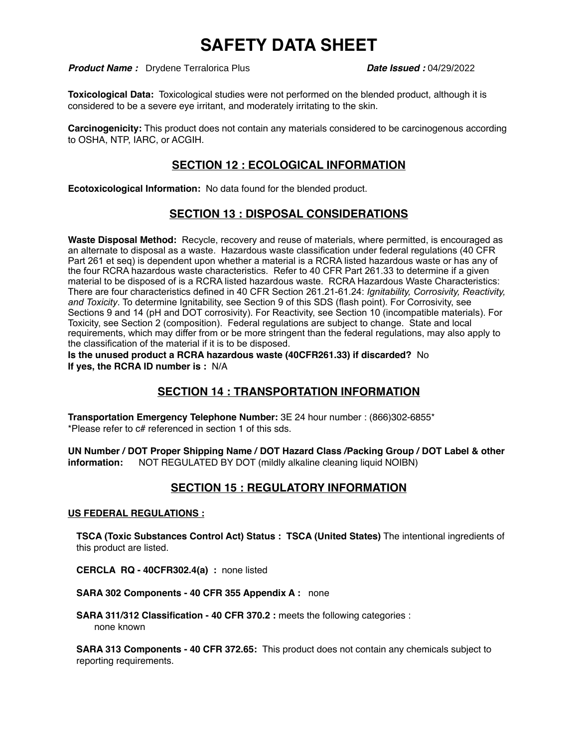**Product Name :** Drydene Terralorica Plus **Date Issued : 04/29/2022** 

**Toxicological Data:** Toxicological studies were not performed on the blended product, although it is considered to be a severe eye irritant, and moderately irritating to the skin.

**Carcinogenicity:** This product does not contain any materials considered to be carcinogenous according to OSHA, NTP, IARC, or ACGIH.

## **SECTION 12 : ECOLOGICAL INFORMATION**

**Ecotoxicological Information:** No data found for the blended product.

## **SECTION 13 : DISPOSAL CONSIDERATIONS**

**Waste Disposal Method:** Recycle, recovery and reuse of materials, where permitted, is encouraged as an alternate to disposal as a waste. Hazardous waste classification under federal regulations (40 CFR Part 261 et seq) is dependent upon whether a material is a RCRA listed hazardous waste or has any of the four RCRA hazardous waste characteristics. Refer to 40 CFR Part 261.33 to determine if a given material to be disposed of is a RCRA listed hazardous waste. RCRA Hazardous Waste Characteristics: There are four characteristics defined in 40 CFR Section 261.21-61.24: *Ignitability, Corrosivity, Reactivity, and Toxicity*. To determine Ignitability, see Section 9 of this SDS (flash point). For Corrosivity, see Sections 9 and 14 (pH and DOT corrosivity). For Reactivity, see Section 10 (incompatible materials). For Toxicity, see Section 2 (composition). Federal regulations are subject to change. State and local requirements, which may differ from or be more stringent than the federal regulations, may also apply to the classification of the material if it is to be disposed.

**Is the unused product a RCRA hazardous waste (40CFR261.33) if discarded?** No **If yes, the RCRA ID number is :** N/A

## **SECTION 14 : TRANSPORTATION INFORMATION**

**Transportation Emergency Telephone Number:** 3E 24 hour number : (866)302-6855\* \*Please refer to c# referenced in section 1 of this sds.

**UN Number / DOT Proper Shipping Name / DOT Hazard Class /Packing Group / DOT Label & other information:** NOT REGULATED BY DOT (mildly alkaline cleaning liquid NOIBN)

## **SECTION 15 : REGULATORY INFORMATION**

#### **US FEDERAL REGULATIONS :**

**TSCA (Toxic Substances Control Act) Status : TSCA (United States)** The intentional ingredients of this product are listed.

**CERCLA RQ - 40CFR302.4(a) :** none listed

**SARA 302 Components - 40 CFR 355 Appendix A :** none

SARA 311/312 Classification - 40 CFR 370.2 : meets the following categories : none known

**SARA 313 Components - 40 CFR 372.65:** This product does not contain any chemicals subject to reporting requirements.